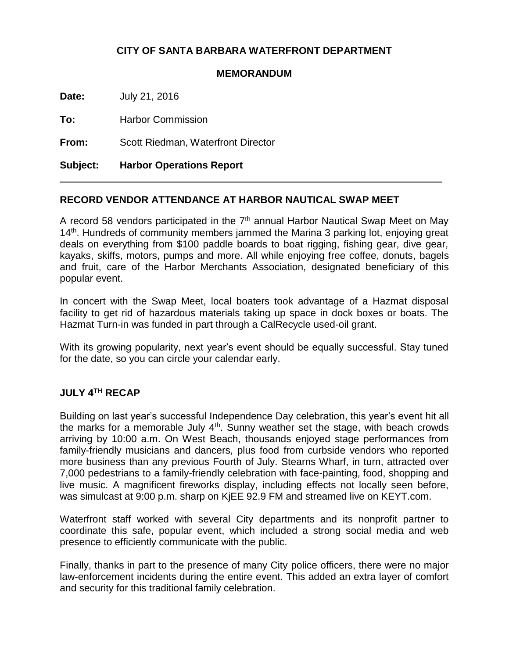# **CITY OF SANTA BARBARA WATERFRONT DEPARTMENT**

#### **MEMORANDUM**

**Date:** July 21, 2016

**To:** Harbor Commission

**From:** Scott Riedman, Waterfront Director

**Subject: Harbor Operations Report**

# **RECORD VENDOR ATTENDANCE AT HARBOR NAUTICAL SWAP MEET**

A record 58 vendors participated in the  $7<sup>th</sup>$  annual Harbor Nautical Swap Meet on May 14<sup>th</sup>. Hundreds of community members jammed the Marina 3 parking lot, enjoying great deals on everything from \$100 paddle boards to boat rigging, fishing gear, dive gear, kayaks, skiffs, motors, pumps and more. All while enjoying free coffee, donuts, bagels and fruit, care of the Harbor Merchants Association, designated beneficiary of this popular event.

In concert with the Swap Meet, local boaters took advantage of a Hazmat disposal facility to get rid of hazardous materials taking up space in dock boxes or boats. The Hazmat Turn-in was funded in part through a CalRecycle used-oil grant.

With its growing popularity, next year's event should be equally successful. Stay tuned for the date, so you can circle your calendar early.

#### **JULY 4TH RECAP**

Building on last year's successful Independence Day celebration, this year's event hit all the marks for a memorable July  $4<sup>th</sup>$ . Sunny weather set the stage, with beach crowds arriving by 10:00 a.m. On West Beach, thousands enjoyed stage performances from family-friendly musicians and dancers, plus food from curbside vendors who reported more business than any previous Fourth of July. Stearns Wharf, in turn, attracted over 7,000 pedestrians to a family-friendly celebration with face-painting, food, shopping and live music. A magnificent fireworks display, including effects not locally seen before, was simulcast at 9:00 p.m. sharp on KjEE 92.9 FM and streamed live on KEYT.com.

Waterfront staff worked with several City departments and its nonprofit partner to coordinate this safe, popular event, which included a strong social media and web presence to efficiently communicate with the public.

Finally, thanks in part to the presence of many City police officers, there were no major law-enforcement incidents during the entire event. This added an extra layer of comfort and security for this traditional family celebration.